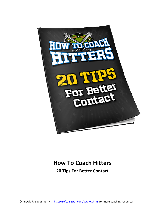

# How To Coach Hitters

20 Tips For Better Contact

© Knowledge Spot Inc - visit http://softballspot.com/catalog.html for more coaching resources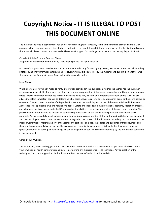# Copyright Notice - IT IS ILLEGAL TO POST THIS DOCUMENT ONLINE

The material enclosed is copyrighted. You do not have resell rights or giveaway rights to the material provided herein. Only customers that have purchased this material are authorized to view it. If you think you may have an illegally distributed copy of this material, please contact us immediately. Please email support@knowledgespotinc.com to report any illegal distribution.

Copyright © Luis Ortiz and Coaches Choice. Adapted and licensed for distribution by Knowledge Spot Inc. All rights reserved.

No part of this publication may be reproduced or transmitted in any form or by any means, electronic or mechanical, including photocopying or by information storage and retrieval systems. It is illegal to copy this material and publish it on another web site, news group, forum, etc. even if you include the copyright notice.

#### Legal Notices

While all attempts have been made to verify information provided in this publication, neither the author nor the publisher assumes any responsibility for errors, omissions or contrary interpretation of the subject matter herein. The publisher wants to stress that the information contained herein may be subject to varying state and/or local laws or regulations. All users are advised to retain competent counsel to determine what state and/or local laws or regulations may apply to the user's particular operation. The purchaser or reader of this publication assumes responsibility for the use of these materials and information. Adherence to all applicable laws and regulations, federal, state and local, governing professional licensing, operation practices, and all other aspects of operation in the US or any other jurisdiction is the sole responsibility of the purchaser or reader. The publisher and author assume no responsibility or liability whatsoever on the behalf of any purchaser or reader of these materials. Any perceived slights of specific people or organizations is unintentional. The author and publisher of this document and their employers make no warranty of any kind in regard to the content of this document, including, but not limited to, any implied warranties of merchantability, or fitness for any particular purpose. The author and publisher of this document and their employers are not liable or responsible to any person or entity for any errors contained in this document, or for any special, incidental, or consequential damage caused or alleged to be caused directly or indirectly by the information contained in this document.

#### Consult Your Physician

The techniques, ideas, and suggestions in this document are not intended as a substitute for proper medical advice! Consult your physician or health care professional before performing any exercise or exercise technique. Any application of the techniques, ideas, and suggestions in this document is at the reader's sole discretion and risk.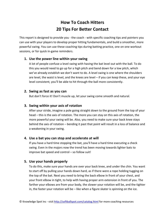## How To Coach Hitters 20 Tips For Better Contact

This report is designed to provide you - the coach - with specific coaching tips and pointers you can use with your players to develop proper hitting fundamentals, and build a smoother, more powerful swing. You can use these coaching tips during batting practice, one on one workout sessions, or for quick in-game reminders.

## 1. Use the power line within your swing

A lot of people confuse a level swing with having the bat level out with the ball. To do this you would need to go up for a high pitch and bend down for a low pitch, which we've already establish we don't want to do. A level swing is one where the shoulders are level, the waist is level, and the knees are level – if you can keep these, and your eye level consistent, you'll be able to hit through the ball more consistently.

#### 2. Swing as fast as you can

But don't force it! Don't muscle up, let your swing come smooth and natural.

#### 3. Swing within your axis of rotation

After your stride, imagine a pole going straight down to the ground from the top of your head – this is the axis of rotation. The more you can stay on this axis of rotation, the more powerful your swing will be. Also, you need to make sure your back knee stays behind the axis of rotation – bending it past that point will result in a loss of balance and a weakening in your swing.

## 4. Use a bat you can stop and accelerate at will

If you have a hard time stopping the bat, you'll have a hard time executing a check swing. Even in the majors now the trend has been moving towards lighter bats to improve bat speed and control – so follow suit!

## 5. Use your hands properly

To do this, make sure your hands are over your back knee, and under the chin. You want to start off by pulling your hands down hard, as if there were a rope holding tugging on the top of the bat. Next you need to bring the back elbow in front of your chest, and your front elbow in tight, to help with having proper arm extension in front of you. The farther your elbows are from your body, the slower your rotation will be, and the tighter in, the faster your rotation will be – like when a figure skater is spinning on the ice.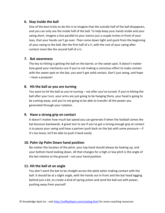#### 6. Stay inside the ball

One of the best tricks to do this is to imagine that the outside half of the ball disappears, and you can only see the inside half of the ball. To help keep your hands inside and your swing short, imagine a line parallel to your stance just a couple inches in front of your toes, that your hands can't go over. Then come down tight and quick from the beginning of your swing to the ball, like the first half of a V, with the rest of your swing after contact more like the second half of a U.

#### 7. Bat awareness

The key to hitting is getting the ball on the barrel, or the sweet spot. It doesn't matter how good your mechanics are if you're not making a conscious effort to make contact with the sweet spot on the bat, you won't get solid contact. Don't just swing, and hope – have a purpose!

## 8. Hit the ball as you are turning

You want to hit the ball as you're turning - not after you've turned. If you're hitting the ball after your turn, your arms are just going to be hanging there, your head is going to be coming away, and you're not going to be able to transfer all the power you generated through your rotation.

## 9. Have a strong grip on contact

It doesn't matter how much bat speed you can generate if when the fastball comes the bat bounces backwards. A great test to see if you've got a strong enough grip at contact is to pause your swing and have a partner push back on the bat with some pressure – if it's too loose, he'll be able to push it back easily.

## 10. Palm Up Palm Down hand position

No matter the location of the pitch, your top hand should always be looking up, and your bottom hand looking down. All that changes for a high or low pitch is the angle of the bat relative to the ground – not your hand position.

#### 11. Hit the ball at an angle

You don't want the bat to be straight across the plate when making contact with the ball. It should be at a slight angle, with the hands out in front and the bat head lagging behind just a bit, to create a kind of spring action and send the ball out with power, pushing away from yourself.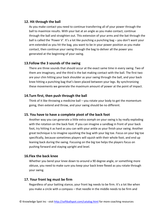#### 12. Hit through the ball

As you make contact you need to continue transferring all of your power through the ball to maximize results. With your bat at an angle as you make contact, continue through the ball and straighten out. This extension of your arms and the bat through the ball is called the 'Power V'. It's a lot like punching a punching bag – you don't want your arm extended as you hit the bag, you want to be in your power position as you make contact, then continue your swing through the bag to deliver all the power you generated at the beginning of your swing.

## 13.Follow the 3 sounds of the swing

There are three sounds that should occur at the exact same time in every swing. Two of them are imaginary, and the third is the bat making contact with the ball. The first two are your chin hitting your back shoulder as your swing through the ball, and your back knee hitting a punching bag that's been placed between your legs. By synchronizing these movements we generate the maximum amount of power at the point of impact.

#### 14.Turn first, then push through the ball

Think of it like throwing a medicine ball – you rotate your body to get the momentum going, then extend and throw, and your swing should be no different.

#### 15. You have to have a complete pivot of the back foot

Another way you can generate a little extra oomph on your swing is by really exploding with the rotation on the back foot. If you can imagine a sandbag in front of your back foot, try hitting it as hard as you can with your ankle as your finish your swing. Another great technique is to imagine squishing the bug with your big toe. Focus on your big toe specifically, because sometimes players will squish with their whole foot, and end up leaning back during the swing. Focusing on the big toe helps the players focus on pushing forward and staying upright and level.

#### 16.Flex the back knee

Whether you bend your knee down to around a 90 degree angle, or something more obtuse, you need to make sure you keep your back knee flexed as you rotate through your swing.

#### 17. Your front leg must be firm

Regardless of your batting stance, your front leg needs to be firm. It's a lot like when you make a circle with a compass – that needle in the middle needs to be firm and